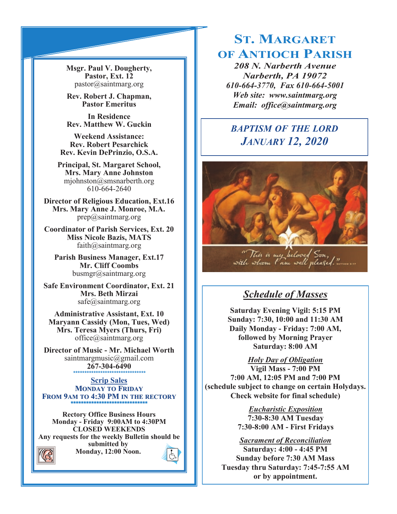**Msgr. Paul V. Dougherty, Pastor, Ext. 12** pastor@saintmarg.org

**Rev. Robert J. Chapman, Pastor Emeritus**

**In Residence Rev. Matthew W. Guckin**

**Weekend Assistance: Rev. Robert Pesarchick Rev. Kevin DePrinzio, O.S.A.**

**Principal, St. Margaret School, Mrs. Mary Anne Johnston**  mjohnston@smsnarberth.org 610-664-2640

**Director of Religious Education, Ext.16 Mrs. Mary Anne J. Monroe, M.A.** prep@saintmarg.org

**Coordinator of Parish Services, Ext. 20 Miss Nicole Bazis, MATS** faith@saintmarg.org

**Parish Business Manager, Ext.17 Mr. Cliff Coombs** busmgr@saintmarg.org

**Safe Environment Coordinator, Ext. 21 Mrs. Beth Mirzai** safe@saintmarg.org

**Administrative Assistant, Ext. 10 Maryann Cassidy (Mon, Tues, Wed) Mrs. Teresa Myers (Thurs, Fri)** office@saintmarg.org

**Director of Music - Mr. Michael Worth** saintmargmusic@gmail.com **267-304-6490** *\*\*\*\*\*\*\*\*\*\*\*\*\*\*\*\*\*\*\*\*\*\*\*\*\*\*\*\*\*\*\*\**

**Scrip Sales MONDAY TO FRIDAY FROM 9AM TO 4:30 PM IN THE RECTORY \*\*\*\*\*\*\*\*\*\*\*\*\*\*\*\*\*\*\*\*\*\*\*\*\*\*\*\*\*\*** 

**Rectory Office Business Hours Monday - Friday 9:00AM to 4:30PM CLOSED WEEKENDS Any requests for the weekly Bulletin should be submitted by Monday, 12:00 Noon.** 



# **ST. MARGARET OF ANTIOCH PARISH**

*208 N. Narberth Avenue Narberth, PA 19072 610-664-3770, Fax 610-664-5001 Web site: www.saintmarg.org Email: office@saintmarg.org*

# *BAPTISM OF THE LORD JANUARY 12, 2020*



<sup>ce</sup> This is my heloved S<del>on,</del><br>with wh<del>o</del>m I am well pleased."

# *Schedule of Masses*

**Saturday Evening Vigil: 5:15 PM Sunday: 7:30, 10:00 and 11:30 AM Daily Monday - Friday: 7:00 AM, followed by Morning Prayer Saturday: 8:00 AM**

*Holy Day of Obligation* **Vigil Mass - 7:00 PM 7:00 AM, 12:05 PM and 7:00 PM (schedule subject to change on certain Holydays. Check website for final schedule)**

> *Eucharistic Exposition*  **7:30-8:30 AM Tuesday 7:30-8:00 AM - First Fridays**

*Sacrament of Reconciliation* **Saturday: 4:00 - 4:45 PM Sunday before 7:30 AM Mass Tuesday thru Saturday: 7:45-7:55 AM or by appointment.**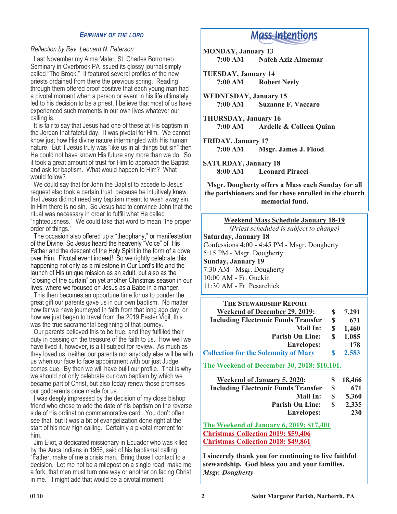## *EPIPHANY OF THE LORD*

#### *Reflection by Rev. Leonard N. Peterson*

 Last November my Alma Mater, St. Charles Borromeo Seminary in Overbrook PA issued its glossy journal simply called "The Brook." It featured several profiles of the new priests ordained from there the previous spring. Reading through them offered proof positive that each young man had a pivotal moment when a person or event in his life ultimately led to his decision to be a priest. I believe that most of us have experienced such moments in our own lives whatever our calling is.

 It is fair to say that Jesus had one of these at His baptism in the Jordan that fateful day. It was pivotal for Him. We cannot know just how His divine nature intermingled with His human nature. But if Jesus truly was "like us in all things but sin" then He could not have known His future any more than we do. So it took a great amount of trust for Him to approach the Baptist and ask for baptism. What would happen to Him? What would follow?

 We could say that for John the Baptist to accede to Jesus' request also took a certain trust, because he intuitively knew that Jesus did not need any baptism meant to wash away sin. In Him there is no sin. So Jesus had to convince John that the ritual was necessary in order to fulfill what He called "righteousness." We could take that word to mean "the proper order of things."

 The occasion also offered up a "theophany," or manifestation of the Divine. So Jesus heard the heavenly "Voice" of His Father and the descent of the Holy Spirit in the form of a dove over Him. Pivotal event indeed! So we rightly celebrate this happening not only as a milestone in Our Lord's life and the launch of His unique mission as an adult, but also as the "closing of the curtain" on yet another Christmas season in our lives, where we focused on Jesus as a Babe in a manger.

 This then becomes an opportune time for us to ponder the great gift our parents gave us in our own baptism. No matter how far we have journeyed in faith from that long ago day, or how we just began to travel from the 2019 Easter Vigil, this was the true sacramental beginning of that journey.

 Our parents believed this to be true, and they fulfilled their duty in passing on the treasure of the faith to us. How well we have lived it, however, is a fit subject for review. As much as they loved us, neither our parents nor anybody else will be with us when our face to face appointment with our just Judge comes due. By then we will have built our profile. That is why we should not only celebrate our own baptism by which we became part of Christ, but also today renew those promises our godparents once made for us.

 I was deeply impressed by the decision of my close bishop friend who chose to add the date of his baptism on the reverse side of his ordination commemorative card. You don't often see that, but it was a bit of evangelization done right at the start of his new high calling. Certainly a pivotal moment for him.

 Jim Eliot, a dedicated missionary in Ecuador who was killed by the Auca Indians in 1956, said of his baptismal calling: "Father, make of me a crisis man. Bring those I contact to a decision. Let me not be a milepost on a single road; make me a fork, that men must turn one way or another on facing Christ in me." I might add that would be a pivotal moment.

# **Mass Intentions**

**MONDAY, January 13 7:00 AM Nafeh Aziz Almemar**

**TUESDAY, January 14 7:00 AM Robert Neely**

**WEDNESDAY, January 15 7:00 AM Suzanne F. Vaccaro**

**THURSDAY, January 16 7:00 AM Ardelle & Colleen Quinn**

**FRIDAY, January 17 7:00 AM Msgr. James J. Flood**

**SATURDAY, January 18 8:00 AM Leonard Piracci**

**Msgr. Dougherty offers a Mass each Sunday for all the parishioners and for those enrolled in the church memorial fund.**

#### **Weekend Mass Schedule January 18-19**

*(Priest scheduled is subject to change)*

**Saturday, January 18** Confessions 4:00 - 4:45 PM - Msgr. Dougherty 5:15 PM - Msgr. Dougherty **Sunday, January 19** 7:30 AM - Msgr. Dougherty 10:00 AM - Fr. Guckin 11:30 AM - Fr. Pesarchick

| <b>THE STEWARDSHIP REPORT</b>               |   |       |
|---------------------------------------------|---|-------|
| Weekend of December 29, 2019:               |   | 7,291 |
| <b>Including Electronic Funds Transfer</b>  | S | 671   |
| <b>Mail In:</b>                             | S | 1,460 |
| <b>Parish On Line:</b>                      | S | 1,085 |
| <b>Envelopes:</b>                           |   | 178   |
| <b>Collection for the Solemnity of Mary</b> | S | 2,583 |
|                                             |   |       |

**The Weekend of December 30, 2018: \$10,101.**

| <b>Weekend of January 5, 2020:</b>         | S.           | 18,466 |
|--------------------------------------------|--------------|--------|
| <b>Including Electronic Funds Transfer</b> | S            | 671    |
| Mail In:                                   | £.           | 5.360  |
| <b>Parish On Line:</b>                     | $\mathbf{S}$ | 2,335  |
| <b>Envelopes:</b>                          |              | 230    |

**The Weekend of January 6, 2019: \$17,401 Christmas Collection 2019: \$59,406 Christmas Collection 2018: \$49,861**

**I sincerely thank you for continuing to live faithful stewardship. God bless you and your families.** *Msgr. Dougherty*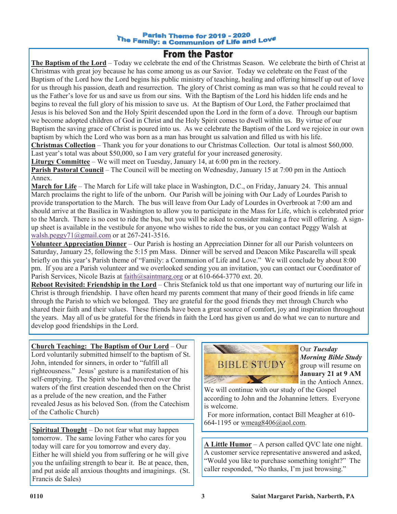#### **Parish Theme for 2019 - 2020** The Family: a Communion of Life and Love<br>The Family: a Communion of Life and Love

# **From the Pastor**

**The Baptism of the Lord** – Today we celebrate the end of the Christmas Season. We celebrate the birth of Christ at Christmas with great joy because he has come among us as our Savior. Today we celebrate on the Feast of the Baptism of the Lord how the Lord begins his public ministry of teaching, healing and offering himself up out of love for us through his passion, death and resurrection. The glory of Christ coming as man was so that he could reveal to us the Father's love for us and save us from our sins. With the Baptism of the Lord his hidden life ends and he begins to reveal the full glory of his mission to save us. At the Baptism of Our Lord, the Father proclaimed that Jesus is his beloved Son and the Holy Spirit descended upon the Lord in the form of a dove. Through our baptism we become adopted children of God in Christ and the Holy Spirit comes to dwell within us. By virtue of our Baptism the saving grace of Christ is poured into us. As we celebrate the Baptism of the Lord we rejoice in our own baptism by which the Lord who was born as a man has brought us salvation and filled us with his life.

**Christmas Collection** – Thank you for your donations to our Christmas Collection. Our total is almost \$60,000. Last year's total was about \$50,000, so I am very grateful for your increased generosity.

**Liturgy Committee** – We will meet on Tuesday, January 14, at 6:00 pm in the rectory.

**Parish Pastoral Council** – The Council will be meeting on Wednesday, January 15 at 7:00 pm in the Antioch Annex.

**March for Life** – The March for Life will take place in Washington, D.C., on Friday, January 24. This annual March proclaims the right to life of the unborn. Our Parish will be joining with Our Lady of Lourdes Parish to provide transportation to the March. The bus will leave from Our Lady of Lourdes in Overbrook at 7:00 am and should arrive at the Basilica in Washington to allow you to participate in the Mass for Life, which is celebrated prior to the March. There is no cost to ride the bus, but you will be asked to consider making a free will offering. A signup sheet is available in the vestibule for anyone who wishes to ride the bus, or you can contact Peggy Walsh at [walsh.peggy71@gmail.com](mailto:walsh.peggy71@gmail.com) or at 267-241-3516.

**Volunteer Appreciation Dinner** – Our Parish is hosting an Appreciation Dinner for all our Parish volunteers on Saturday, January 25, following the 5:15 pm Mass. Dinner will be served and Deacon Mike Pascarella will speak briefly on this year's Parish theme of "Family: a Communion of Life and Love." We will conclude by about 8:00 pm. If you are a Parish volunteer and we overlooked sending you an invitation, you can contact our Coordinator of Parish Services, Nicole Bazis at [faith@saintmarg.org](mailto:faith@saintmarg.org) or at 610-664-3770 ext. 20.

**Reboot Revisited: Friendship in the Lord** – Chris Stefanick told us that one important way of nurturing our life in Christ is through friendship. I have often heard my parents comment that many of their good friends in life came through the Parish to which we belonged. They are grateful for the good friends they met through Church who shared their faith and their values. These friends have been a great source of comfort, joy and inspiration throughout the years. May all of us be grateful for the friends in faith the Lord has given us and do what we can to nurture and develop good friendships in the Lord.

**Church Teaching: The Baptism of Our Lord** – Our Lord voluntarily submitted himself to the baptism of St. John, intended for sinners, in order to "fulfill all righteousness." Jesus' gesture is a manifestation of his self-emptying. The Spirit who had hovered over the waters of the first creation descended then on the Christ as a prelude of the new creation, and the Father revealed Jesus as his beloved Son. (from the Catechism of the Catholic Church)

**Spiritual Thought** – Do not fear what may happen tomorrow. The same loving Father who cares for you today will care for you tomorrow and every day. Either he will shield you from suffering or he will give you the unfailing strength to bear it. Be at peace, then, and put aside all anxious thoughts and imaginings. (St. Francis de Sales)



Our *Tuesday Morning Bible Study*  group will resume on **January 21 at 9 AM**  in the Antioch Annex.

We will continue with our study of the Gospel according to John and the Johannine letters. Everyone is welcome.

 For more information, contact Bill Meagher at 610- 664-1195 or wmeag8406@aol.com.

**A Little Humor** – A person called QVC late one night. A customer service representative answered and asked, "Would you like to purchase something tonight?" The caller responded, "No thanks, I'm just browsing."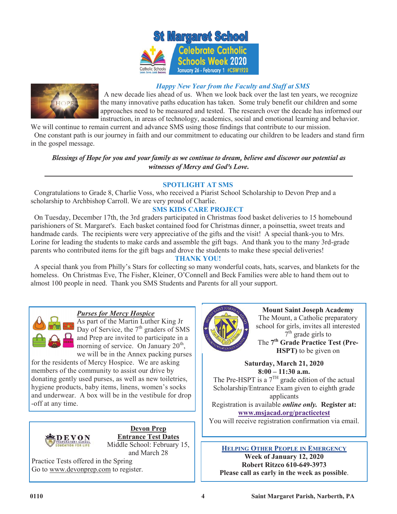



## *Happy New Year from the Faculty and Staff at SMS*

 A new decade lies ahead of us. When we look back over the last ten years, we recognize the many innovative paths education has taken. Some truly benefit our children and some approaches need to be measured and tested. The research over the decade has informed our instruction, in areas of technology, academics, social and emotional learning and behavior.

We will continue to remain current and advance SMS using those findings that contribute to our mission. One constant path is our journey in faith and our commitment to educating our children to be leaders and stand firm in the gospel message.

*Blessings of Hope for you and your family as we continue to dream, believe and discover our potential as witnesses of Mercy and God's Love.*

## **SPOTLIGHT AT SMS**

 Congratulations to Grade 8, Charlie Voss, who received a Piarist School Scholarship to Devon Prep and a scholarship to Archbishop Carroll. We are very proud of Charlie.

## **SMS KIDS CARE PROJECT**

 On Tuesday, December 17th, the 3rd graders participated in Christmas food basket deliveries to 15 homebound parishioners of St. Margaret's. Each basket contained food for Christmas dinner, a poinsettia, sweet treats and handmade cards. The recipients were very appreciative of the gifts and the visit! A special thank-you to Mrs. Lorine for leading the students to make cards and assemble the gift bags. And thank you to the many 3rd-grade parents who contributed items for the gift bags and drove the students to make these special deliveries!

## **THANK YOU!**

 A special thank you from Philly's Stars for collecting so many wonderful coats, hats, scarves, and blankets for the homeless. On Christmas Eve, The Fisher, Kleiner, O'Connell and Beck Families were able to hand them out to almost 100 people in need. Thank you SMS Students and Parents for all your support.

### *Purses for Mercy Hospice*

As part of the Martin Luther King Jr Day of Service, the  $7<sup>th</sup>$  graders of SMS and Prep are invited to participate in a morning of service. On January  $20^{th}$ , we will be in the Annex packing purses

for the residents of Mercy Hospice. We are asking members of the community to assist our drive by donating gently used purses, as well as new toiletries, hygiene products, baby items, linens, women's socks and underwear. A box will be in the vestibule for drop -off at any time.



**Devon Prep Entrance Test Dates** Middle School: February 15, and March 28

Practice Tests offered in the Spring Go to www.devonprep.com to register.



**Mount Saint Joseph Academy** The Mount, a Catholic preparatory school for girls, invites all interested  $7<sup>th</sup>$  grade girls to The **7 th Grade Practice Test (Pre-HSPT)** to be given on

**Saturday, March 21, 2020 8:00 – 11:30 a.m.**

The Pre-HSPT is a  $7<sup>TH</sup>$  grade edition of the actual Scholarship/Entrance Exam given to eighth grade applicants Registration is available *online only.* **Register at:** 

**[www.msjacad.org/practicetest](http://www.msjacad.org/practicetest)** You will receive registration confirmation via email.

## **HELPING OTHER PEOPLE IN EMERGENCY**

**Week of January 12, 2020 Robert Ritzco 610-649-3973 Please call as early in the week as possible**.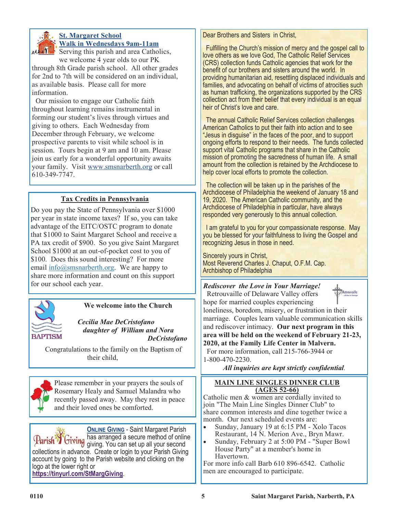

# **St. Margaret School Walk in Wednesdays 9am-11am**

**SERVICE:** Serving this parish and area Catholics, we welcome 4 year olds to our PK

through 8th Grade parish school. All other grades for 2nd to 7th will be considered on an individual, as available basis. Please call for more information.

 Our mission to engage our Catholic faith throughout learning remains instrumental in forming our student's lives through virtues and giving to others. Each Wednesday from December through February, we welcome prospective parents to visit while school is in session. Tours begin at 9 am and 10 am. Please join us early for a wonderful opportunity awaits your family. Visit [www.smsnarberth.org](http://www.smsnarberth.org/) or call 610-349-7747.

# **Tax Credits in Pennsylvania**

Do you pay the State of Pennsylvania over \$1000 per year in state income taxes? If so, you can take advantage of the EITC/OSTC program to donate that \$1000 to Saint Margaret School and receive a PA tax credit of \$900. So you give Saint Margaret School \$1000 at an out-of-pocket cost to you of \$100. Does this sound interesting? For more email  $\frac{info(0)$ smsnarberth.org. We are happy to share more information and count on this support for our school each year. *Rediscover the Love in Your Marriage!* 



# **We welcome into the Church**

 *Cecilia Mae DeCristofano daughter of William and Nora DeCristofano*

Congratulations to the family on the Baptism of their child,



Please remember in your prayers the souls of Rosemary Healy and Samuel Malandra who recently passed away. May they rest in peace and their loved ones be comforted.

**ONLINE GIVING** - Saint Margaret Parish has arranged a secure method of online giving. You can set up all your second collections in advance. Create or login to your Parish Giving account by going to the Parish website and clicking on the logo at the lower right or **<https://tinyurl.com/StMargGiving>**.

Dear Brothers and Sisters in Christ,

 Fulfilling the Church's mission of mercy and the gospel call to love others as we love God, The Catholic Relief Services (CRS) collection funds Catholic agencies that work for the benefit of our brothers and sisters around the world. In providing humanitarian aid, resettling displaced individuals and families, and advocating on behalf of victims of atrocities such as human trafficking, the organizations supported by the CRS collection act from their belief that every individual is an equal heir of Christ's love and care.

 The annual Catholic Relief Services collection challenges American Catholics to put their faith into action and to see "Jesus in disguise" in the faces of the poor, and to support ongoing efforts to respond to their needs. The funds collected support vital Catholic programs that share in the Catholic mission of promoting the sacredness of human life. A small amount from the collection is retained by the Archdiocese to help cover local efforts to promote the collection.

 The collection will be taken up in the parishes of the Archdiocese of Philadelphia the weekend of January 18 and 19, 2020. The American Catholic community, and the Archdiocese of Philadelphia in particular, have always responded very generously to this annual collection.

 I am grateful to you for your compassionate response. May you be blessed for your faithfulness to living the Gospel and recognizing Jesus in those in need.

Sincerely yours in Christ, Most Reverend Charles J. Chaput, O.F.M. Cap. Archbishop of Philadelphia



 Retrouvaille of Delaware Valley offers hope for married couples experiencing loneliness, boredom, misery, or frustration in their marriage. Couples learn valuable communication skills and rediscover intimacy. **Our next program in this area will be held on the weekend of February 21-23, 2020, at the Family Life Center in Malvern.** For more information, call 215-766-3944 or

1-800-470-2230.

*All inquiries are kept strictly confidential.*

### **MAIN LINE SINGLES DINNER CLUB (AGES 52-66)**

Catholic men & women are cordially invited to join "The Main Line Singles Dinner Club" to share common interests and dine together twice a month. Our next scheduled events are:

- Sunday, January 19 at 6:15 PM Xolo Tacos Restaurant, 14 N. Merion Ave., Bryn Mawr.
- Sunday, February 2 at 5:00 PM "Super Bowl" House Party" at a member's home in Havertown.

For more info call Barb 610 896-6542. Catholic men are encouraged to participate.